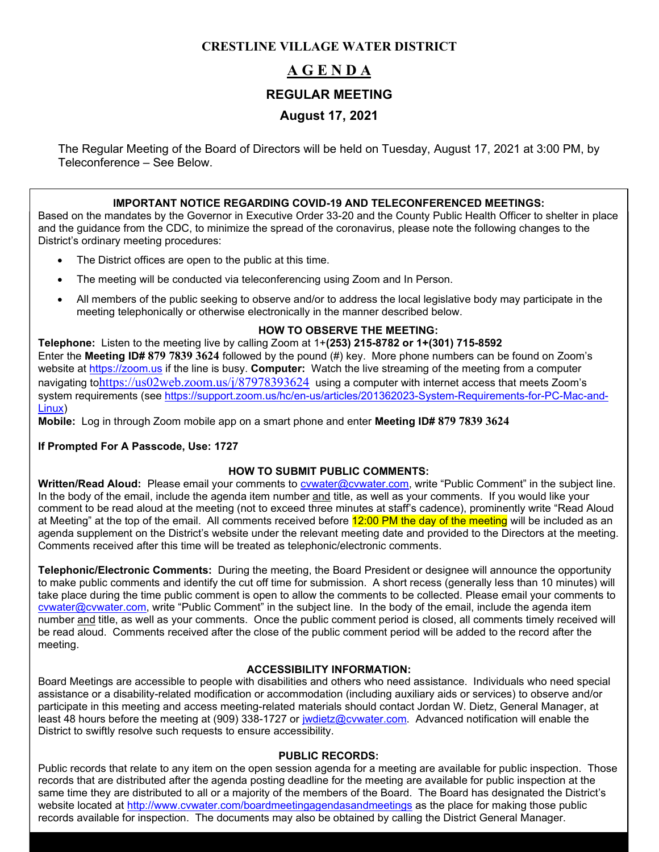## **CRESTLINE VILLAGE WATER DISTRICT**

# **A G E N D A REGULAR MEETING August 17, 2021**

The Regular Meeting of the Board of Directors will be held on Tuesday, August 17, 2021 at 3:00 PM, by Teleconference – See Below.

#### **IMPORTANT NOTICE REGARDING COVID-19 AND TELECONFERENCED MEETINGS:**

Based on the mandates by the Governor in Executive Order 33-20 and the County Public Health Officer to shelter in place and the guidance from the CDC, to minimize the spread of the coronavirus, please note the following changes to the District's ordinary meeting procedures:

- The District offices are open to the public at this time.
- The meeting will be conducted via teleconferencing using Zoom and In Person.
- All members of the public seeking to observe and/or to address the local legislative body may participate in the meeting telephonically or otherwise electronically in the manner described below.

#### **HOW TO OBSERVE THE MEETING:**

**Telephone:** Listen to the meeting live by calling Zoom at 1+**(253) 215-8782 or 1+(301) 715-8592** Enter the **Meeting ID# 879 7839 3624** followed by the pound (#) key. More phone numbers can be found on Zoom's website at [https://zoom.us](https://zoom.us/) if the line is busy. **Computer:** Watch the live streaming of the meeting from a computer navigating to<https://us02web.zoom.us/j/87978393624> using a computer with internet access that meets Zoom's system requirements (see [https://support.zoom.us/hc/en-us/articles/201362023-System-Requirements-for-PC-Mac-and-](https://support.zoom.us/hc/en-us/articles/201362023-System-Requirements-for-PC-Mac-and-Linux)[Linux\)](https://support.zoom.us/hc/en-us/articles/201362023-System-Requirements-for-PC-Mac-and-Linux)

**Mobile:** Log in through Zoom mobile app on a smart phone and enter **Meeting ID# 879 7839 3624**

#### **If Prompted For A Passcode, Use: 1727**

#### **HOW TO SUBMIT PUBLIC COMMENTS:**

Written/Read Aloud: Please email your comments to **cywater@cywater.com**, write "Public Comment" in the subject line. In the body of the email, include the agenda item number and title, as well as your comments. If you would like your comment to be read aloud at the meeting (not to exceed three minutes at staff's cadence), prominently write "Read Aloud at Meeting" at the top of the email. All comments received before 12:00 PM the day of the meeting will be included as an agenda supplement on the District's website under the relevant meeting date and provided to the Directors at the meeting. Comments received after this time will be treated as telephonic/electronic comments.

**Telephonic/Electronic Comments:** During the meeting, the Board President or designee will announce the opportunity to make public comments and identify the cut off time for submission. A short recess (generally less than 10 minutes) will take place during the time public comment is open to allow the comments to be collected. Please email your comments to [cvwater@cvwater.com,](mailto:cvwater@cvwater.com) write "Public Comment" in the subject line. In the body of the email, include the agenda item number and title, as well as your comments. Once the public comment period is closed, all comments timely received will be read aloud. Comments received after the close of the public comment period will be added to the record after the meeting.

#### **ACCESSIBILITY INFORMATION:**

Board Meetings are accessible to people with disabilities and others who need assistance. Individuals who need special assistance or a disability-related modification or accommodation (including auxiliary aids or services) to observe and/or participate in this meeting and access meeting-related materials should contact Jordan W. Dietz, General Manager, at least 48 hours before the meeting at (909) 338-1727 or [jwdietz@cvwater.com.](mailto:jwdietz@cvwater.com) Advanced notification will enable the District to swiftly resolve such requests to ensure accessibility.

#### **PUBLIC RECORDS:**

Public records that relate to any item on the open session agenda for a meeting are available for public inspection. Those records that are distributed after the agenda posting deadline for the meeting are available for public inspection at the same time they are distributed to all or a majority of the members of the Board. The Board has designated the District's website located at<http://www.cvwater.com/boardmeetingagendasandmeetings> as the place for making those public records available for inspection. The documents may also be obtained by calling the District General Manager.